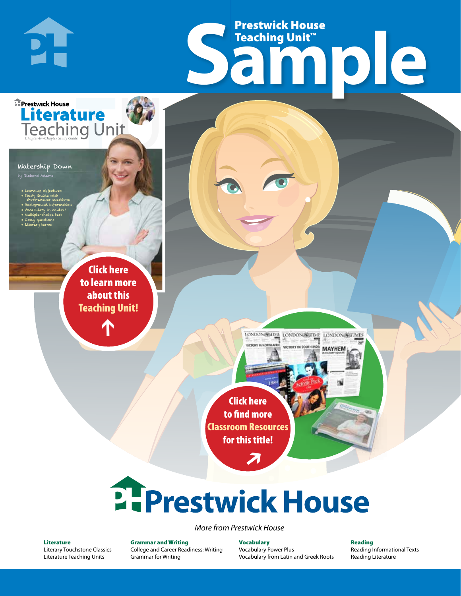# Frestwick House<br>
Sample **Prestwick House**<br>Teaching Unit™ Teaching Unit™

LONDON-SCITME LONDON/SCITME LONDON/SCITMES

MAYHEM

Watership Down

**E** Prestwick House

PI-

by Richard Adams

• Learning objectives • Study Guide with short-answer questions • Background information • Vocabulary in context • Multiple-choice test

CHARLES DICKENS

**A Tale of Two Cities**

**Literature** 

• Essay questions • Literary terms

> r e o r d e r n o . x x x x x x Click here to learn more about this [Teaching Unit!](https://www.prestwickhouse.com/pdf/id-201089/Watership_Down_-_Downloadable_Teaching_Unit)

> > $\mathbf{T}$

1

Click here to find more [Classroom Resources](http://teaching-english.prestwickhouse.com/search#w=watership%20down)  for this title!

 $\overline{\boldsymbol{\lambda}}$ 

# 2. Prestwick House

*More from Prestwick House*

#### Literature

[Literary Touchstone Classics](https://www.prestwickhouse.com/literary-touchstone-classics) [Literature Teaching Units](https://www.prestwickhouse.com/teaching-units)

Grammar and Writing [College and Career Readiness: Writing](https://www.prestwickhouse.com/college-and-career-readiness-writing) [Grammar for Writing](https://www.prestwickhouse.com/book/id-302639/Grammar_for_Writing_-_30_Books_and_Teachers_Edition)

Vocabulary [Vocabulary Power Plus](https://www.prestwickhouse.com/vocabulary-power-plus-for-college-and-career-readiness) [Vocabulary from Latin and Greek Roots](https://www.prestwickhouse.com/vocabulary-from-latin-and-greek-roots) Reading

[Reading Informational Texts](https://www.prestwickhouse.com/reading-informational-texts) [Reading Literature](https://www.prestwickhouse.com/reading-literature)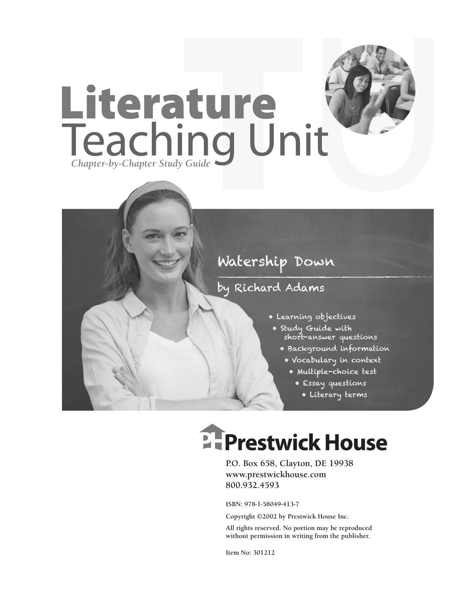

### by Richard Adams

- Learning objectives
- Study Guide with short-answer questions
	- Background information
		- Vocabulary in context
			- Multiple-choice test
				- Essay questions
				- Literary terms

## **EFPrestwick House**

**P.O. Box 658, Clayton, DE 19938 www.prestwickhouse.com 800.932.4593**

**ISBN: 978-1-58049-413-7**

**Copyright ©2002 by Prestwick House Inc.**

**All rights reserved. No portion may be reproduced without permission in writing from the publisher.** 

**Item No: 301212**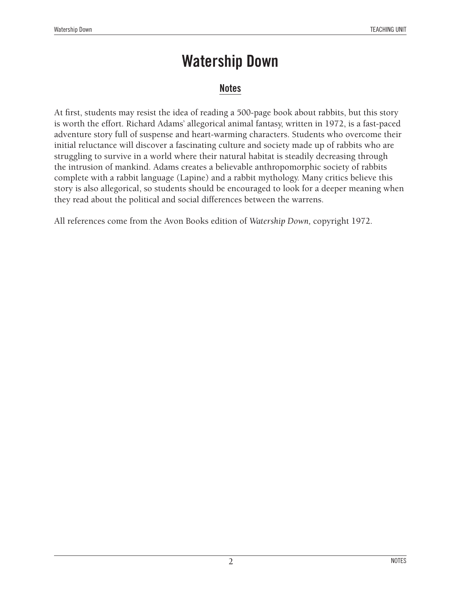#### **Notes**

At first, students may resist the idea of reading a 500-page book about rabbits, but this story is worth the effort. Richard Adams' allegorical animal fantasy, written in 1972, is a fast-paced adventure story full of suspense and heart-warming characters. Students who overcome their initial reluctance will discover a fascinating culture and society made up of rabbits who are struggling to survive in a world where their natural habitat is steadily decreasing through the intrusion of mankind. Adams creates a believable anthropomorphic society of rabbits complete with a rabbit language (Lapine) and a rabbit mythology. Many critics believe this story is also allegorical, so students should be encouraged to look for a deeper meaning when they read about the political and social differences between the warrens.

All references come from the Avon Books edition of *Watership Down,* copyright 1972.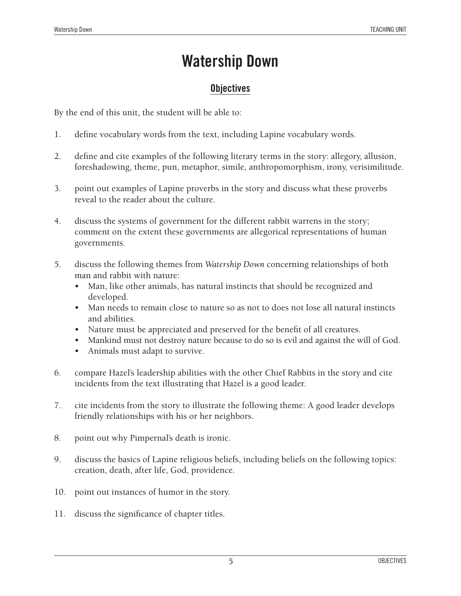### **Objectives**

By the end of this unit, the student will be able to:

- 1. define vocabulary words from the text, including Lapine vocabulary words.
- 2. define and cite examples of the following literary terms in the story: allegory, allusion, foreshadowing, theme, pun, metaphor, simile, anthropomorphism, irony, verisimilitude.
- 3. point out examples of Lapine proverbs in the story and discuss what these proverbs reveal to the reader about the culture.
- 4. discuss the systems of government for the different rabbit warrens in the story; comment on the extent these governments are allegorical representations of human governments.
- 5. discuss the following themes from *Watership Down* concerning relationships of both man and rabbit with nature:
	- Man, like other animals, has natural instincts that should be recognized and developed.
	- Man needs to remain close to nature so as not to does not lose all natural instincts and abilities.
	- Nature must be appreciated and preserved for the benefit of all creatures.
	- Mankind must not destroy nature because to do so is evil and against the will of God.
	- Animals must adapt to survive.
- 6. compare Hazel's leadership abilities with the other Chief Rabbits in the story and cite incidents from the text illustrating that Hazel is a good leader.
- 7. cite incidents from the story to illustrate the following theme: A good leader develops friendly relationships with his or her neighbors.
- 8. point out why Pimpernal's death is ironic.
- 9. discuss the basics of Lapine religious beliefs, including beliefs on the following topics: creation, death, after life, God, providence.
- 10. point out instances of humor in the story.
- 11. discuss the significance of chapter titles.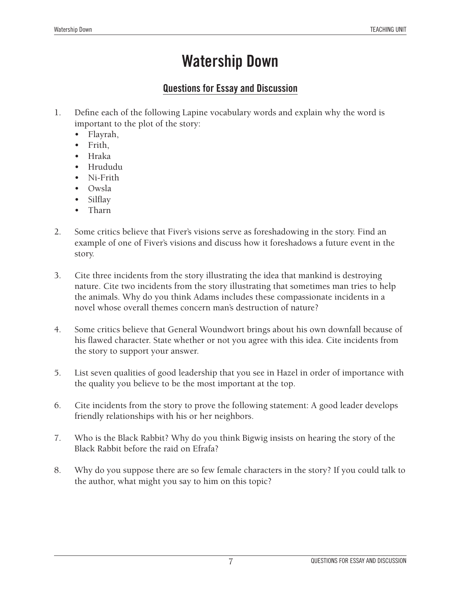### **Questions for Essay and Discussion**

- 1. Define each of the following Lapine vocabulary words and explain why the word is important to the plot of the story:
	- • Flayrah,
	- Frith.
	- **Hraka**
	- • Hrududu
	- Ni-Frith
	- Owsla
	- **Silflay**
	- • Tharn
- 2. Some critics believe that Fiver's visions serve as foreshadowing in the story. Find an example of one of Fiver's visions and discuss how it foreshadows a future event in the story.
- 3. Cite three incidents from the story illustrating the idea that mankind is destroying nature. Cite two incidents from the story illustrating that sometimes man tries to help the animals. Why do you think Adams includes these compassionate incidents in a novel whose overall themes concern man's destruction of nature?
- 4. Some critics believe that General Woundwort brings about his own downfall because of his flawed character. State whether or not you agree with this idea. Cite incidents from the story to support your answer.
- 5. List seven qualities of good leadership that you see in Hazel in order of importance with the quality you believe to be the most important at the top.
- 6. Cite incidents from the story to prove the following statement: A good leader develops friendly relationships with his or her neighbors.
- 7. Who is the Black Rabbit? Why do you think Bigwig insists on hearing the story of the Black Rabbit before the raid on Efrafa?
- 8. Why do you suppose there are so few female characters in the story? If you could talk to the author, what might you say to him on this topic?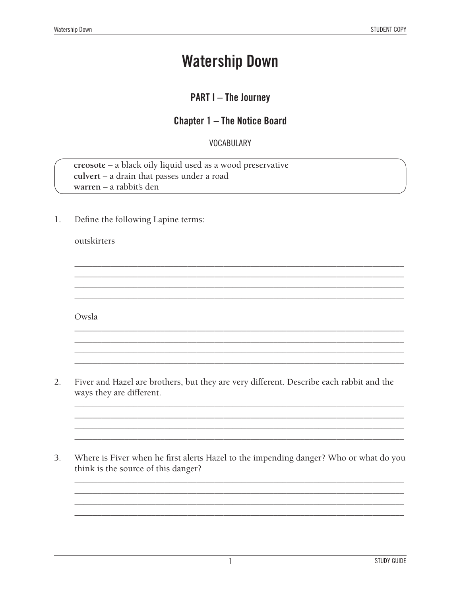### **PART I-The Journey**

### **Chapter 1 - The Notice Board**

#### **VOCABULARY**

creosote - a black oily liquid used as a wood preservative culvert - a drain that passes under a road warren - a rabbit's den

1. Define the following Lapine terms:

#### outskirters

Owsla

- $2.$ Fiver and Hazel are brothers, but they are very different. Describe each rabbit and the ways they are different.
- Where is Fiver when he first alerts Hazel to the impending danger? Who or what do you 3. think is the source of this danger?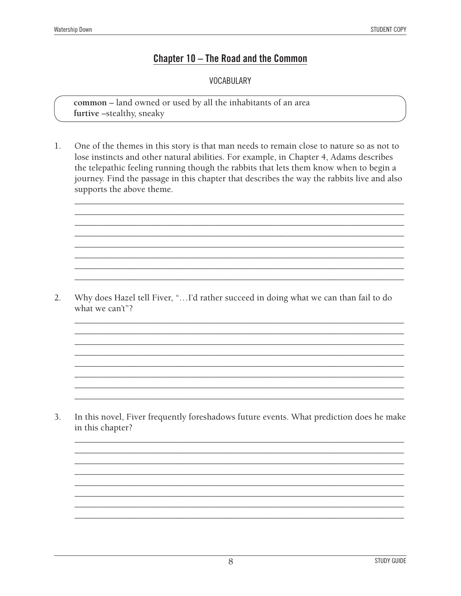#### Chapter 10 - The Road and the Common

**VOCABULARY** 

common - land owned or used by all the inhabitants of an area furtive -stealthy, sneaky

 $1.$ One of the themes in this story is that man needs to remain close to nature so as not to lose instincts and other natural abilities. For example, in Chapter 4, Adams describes the telepathic feeling running though the rabbits that lets them know when to begin a journey. Find the passage in this chapter that describes the way the rabbits live and also supports the above theme.

Why does Hazel tell Fiver, "... I'd rather succeed in doing what we can than fail to do  $2.$ what we can't"?

3. In this novel, Fiver frequently foreshadows future events. What prediction does he make in this chapter?